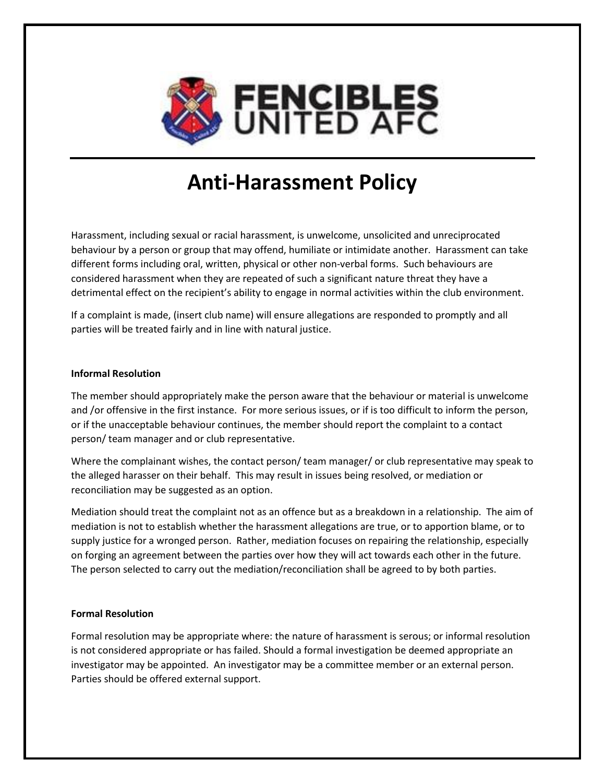

## **Anti-Harassment Policy**

Harassment, including sexual or racial harassment, is unwelcome, unsolicited and unreciprocated behaviour by a person or group that may offend, humiliate or intimidate another. Harassment can take different forms including oral, written, physical or other non-verbal forms. Such behaviours are considered harassment when they are repeated of such a significant nature threat they have a detrimental effect on the recipient's ability to engage in normal activities within the club environment.

If a complaint is made, (insert club name) will ensure allegations are responded to promptly and all parties will be treated fairly and in line with natural justice.

## **Informal Resolution**

The member should appropriately make the person aware that the behaviour or material is unwelcome and /or offensive in the first instance. For more serious issues, or if is too difficult to inform the person, or if the unacceptable behaviour continues, the member should report the complaint to a contact person/ team manager and or club representative.

Where the complainant wishes, the contact person/ team manager/ or club representative may speak to the alleged harasser on their behalf. This may result in issues being resolved, or mediation or reconciliation may be suggested as an option.

Mediation should treat the complaint not as an offence but as a breakdown in a relationship. The aim of mediation is not to establish whether the harassment allegations are true, or to apportion blame, or to supply justice for a wronged person. Rather, mediation focuses on repairing the relationship, especially on forging an agreement between the parties over how they will act towards each other in the future. The person selected to carry out the mediation/reconciliation shall be agreed to by both parties.

## **Formal Resolution**

Formal resolution may be appropriate where: the nature of harassment is serous; or informal resolution is not considered appropriate or has failed. Should a formal investigation be deemed appropriate an investigator may be appointed. An investigator may be a committee member or an external person. Parties should be offered external support.